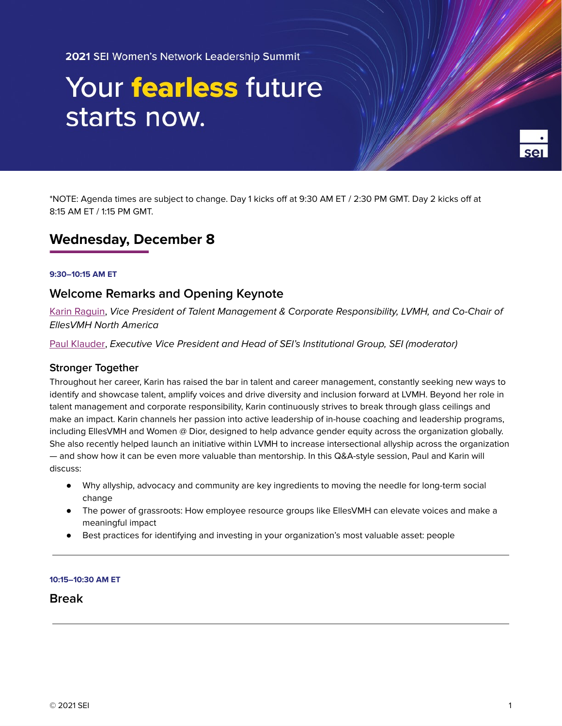2021 SEI Women's Network Leadership Summit

# Your fearless future starts now.



\*NOTE: Agenda times are subject to change. Day 1 kicks off at 9:30 AM ET / 2:30 PM GMT. Day 2 kicks off at 8:15 AM ET / 1:15 PM GMT.

# **Wednesday, December 8**

## **9:30–10:15 AM ET**

# **Welcome Remarks and Opening Keynote**

Karin [Raguin](https://seiwomensleadershipsummit.com/speakers/#karin-raguin), Vice President of Talent Management & Corporate Responsibility, LVMH, and Co-Chair of EllesVMH North America

Paul [Klauder,](https://seiwomensleadershipsummit.com/speakers/#paul-klauder) Executive Vice President and Head of SEI's Institutional Group, SEI (moderator)

## **Stronger Together**

Throughout her career, Karin has raised the bar in talent and career management, constantly seeking new ways to identify and showcase talent, amplify voices and drive diversity and inclusion forward at LVMH. Beyond her role in talent management and corporate responsibility, Karin continuously strives to break through glass ceilings and make an impact. Karin channels her passion into active leadership of in-house coaching and leadership programs, including EllesVMH and Women @ Dior, designed to help advance gender equity across the organization globally. She also recently helped launch an initiative within LVMH to increase intersectional allyship across the organization — and show how it can be even more valuable than mentorship. In this Q&A-style session, Paul and Karin will discuss:

- Why allyship, advocacy and community are key ingredients to moving the needle for long-term social change
- The power of grassroots: How employee resource groups like EllesVMH can elevate voices and make a meaningful impact
- Best practices for identifying and investing in your organization's most valuable asset: people

#### **10:15–10:30 AM ET**

# **Break**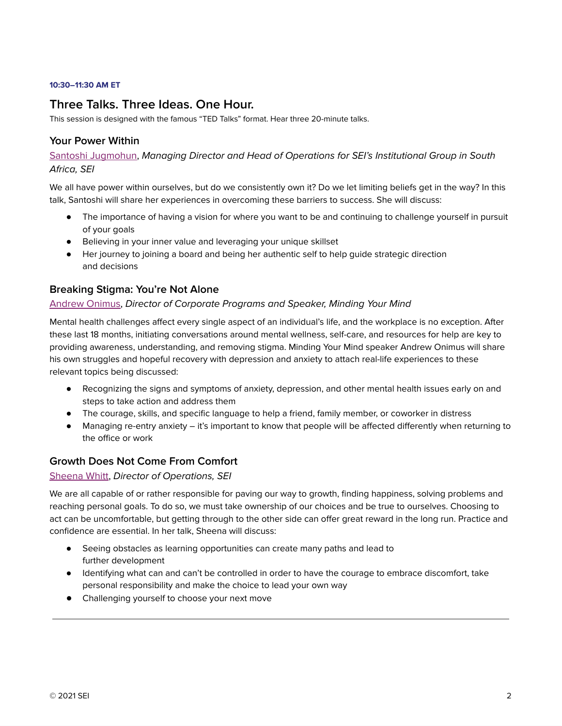#### **10:30–11:30 AM ET**

# **Three Talks. Three Ideas. One Hour.**

This session is designed with the famous "TED Talks" format. Hear three 20-minute talks.

## **Your Power Within**

Santoshi [Jugmohun](https://seiwomensleadershipsummit.com/speakers/#santoshi-jugmohun), Managing Director and Head of Operations for SEI's Institutional Group in South Africa, SEI

We all have power within ourselves, but do we consistently own it? Do we let limiting beliefs get in the way? In this talk, Santoshi will share her experiences in overcoming these barriers to success. She will discuss:

- The importance of having a vision for where you want to be and continuing to challenge yourself in pursuit of your goals
- Believing in your inner value and leveraging your unique skillset
- Her journey to joining a board and being her authentic self to help guide strategic direction and decisions

## **Breaking Stigma: You're Not Alone**

## [Andrew](https://seiwomensleadershipsummit.com/speakers/#andrew-onimus) Onimus, Director of Corporate Programs and Speaker, Minding Your Mind

Mental health challenges affect every single aspect of an individual's life, and the workplace is no exception. After these last 18 months, initiating conversations around mental wellness, self-care, and resources for help are key to providing awareness, understanding, and removing stigma. Minding Your Mind speaker Andrew Onimus will share his own struggles and hopeful recovery with depression and anxiety to attach real-life experiences to these relevant topics being discussed:

- Recognizing the signs and symptoms of anxiety, depression, and other mental health issues early on and steps to take action and address them
- The courage, skills, and specific language to help a friend, family member, or coworker in distress
- Managing re-entry anxiety it's important to know that people will be affected differently when returning to the office or work

# **Growth Does Not Come From Comfort**

## [Sheena](https://seiwomensleadershipsummit.com/speakers/#sheena-whitt) Whitt, Director of Operations, SEI

We are all capable of or rather responsible for paving our way to growth, finding happiness, solving problems and reaching personal goals. To do so, we must take ownership of our choices and be true to ourselves. Choosing to act can be uncomfortable, but getting through to the other side can offer great reward in the long run. Practice and confidence are essential. In her talk, Sheena will discuss:

- Seeing obstacles as learning opportunities can create many paths and lead to further development
- Identifying what can and can't be controlled in order to have the courage to embrace discomfort, take personal responsibility and make the choice to lead your own way
- Challenging yourself to choose your next move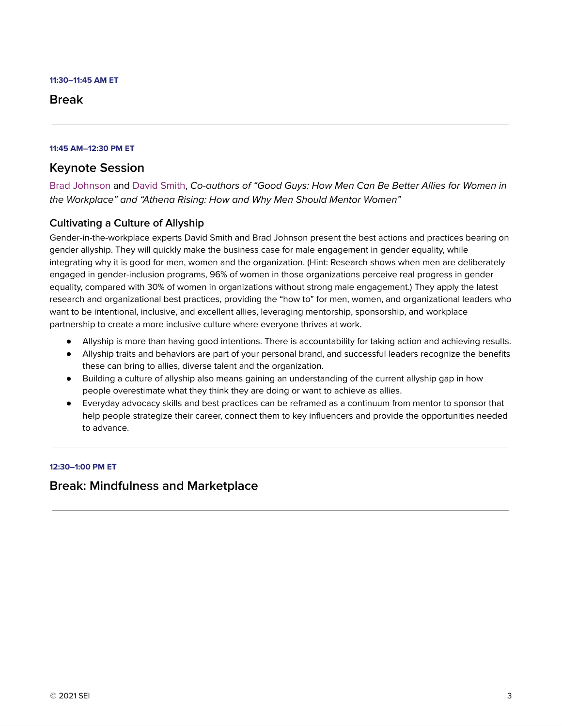#### **11:30–11:45 AM ET**

# **Break**

## **11:45 AM–12:30 PM ET**

# **Keynote Session**

Brad [Johnson](https://seiwomensleadershipsummit.com/speakers/#brad-johnson) and [David](https://seiwomensleadershipsummit.com/speakers/#david-smith) Smith, Co-authors of "Good Guys: How Men Can Be Better Allies for Women in the Workplace" and "Athena Rising: How and Why Men Should Mentor Women"

# **Cultivating a Culture of Allyship**

Gender-in-the-workplace experts David Smith and Brad Johnson present the best actions and practices bearing on gender allyship. They will quickly make the business case for male engagement in gender equality, while integrating why it is good for men, women and the organization. (Hint: Research shows when men are deliberately engaged in gender-inclusion programs, 96% of women in those organizations perceive real progress in gender equality, compared with 30% of women in organizations without strong male engagement.) They apply the latest research and organizational best practices, providing the "how to" for men, women, and organizational leaders who want to be intentional, inclusive, and excellent allies, leveraging mentorship, sponsorship, and workplace partnership to create a more inclusive culture where everyone thrives at work.

- Allyship is more than having good intentions. There is accountability for taking action and achieving results.
- Allyship traits and behaviors are part of your personal brand, and successful leaders recognize the benefits these can bring to allies, diverse talent and the organization.
- Building a culture of allyship also means gaining an understanding of the current allyship gap in how people overestimate what they think they are doing or want to achieve as allies.
- Everyday advocacy skills and best practices can be reframed as a continuum from mentor to sponsor that help people strategize their career, connect them to key influencers and provide the opportunities needed to advance.

## **12:30–1:00 PM ET**

# **Break: Mindfulness and Marketplace**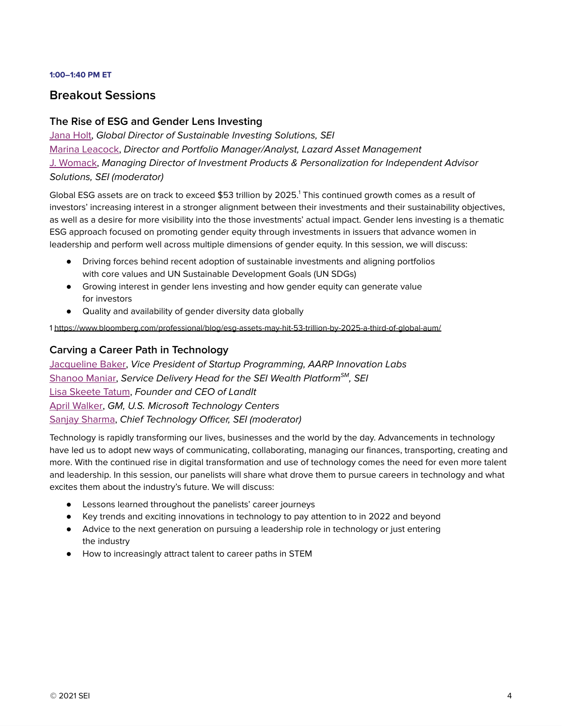#### **1:00–1:40 PM ET**

# **Breakout Sessions**

# **The Rise of ESG and Gender Lens Investing**

[Jana](https://seiwomensleadershipsummit.com/speakers/#jana-holt) Holt, Global Director of Sustainable Investing Solutions, SEI Marina [Leacock,](https://seiwomensleadershipsummit.com/speakers/#marina-leacock) Director and Portfolio Manager/Analyst, Lazard Asset Management J. [Womack,](https://seiwomensleadershipsummit.com/speakers/#j-womack) Managing Director of Investment Products & Personalization for Independent Advisor Solutions, SEI (moderator)

Global ESG assets are on track to exceed \$53 trillion by 2025. <sup>1</sup> This continued growth comes as a result of investors' increasing interest in a stronger alignment between their investments and their sustainability objectives, as well as a desire for more visibility into the those investments' actual impact. Gender lens investing is a thematic ESG approach focused on promoting gender equity through investments in issuers that advance women in leadership and perform well across multiple dimensions of gender equity. In this session, we will discuss:

- Driving forces behind recent adoption of sustainable investments and aligning portfolios with core values and UN Sustainable Development Goals (UN SDGs)
- Growing interest in gender lens investing and how gender equity can generate value for investors
- Quality and availability of gender diversity data globally

1 <https://www.bloomberg.com/professional/blog/esg-assets-may-hit-53-trillion-by-2025-a-third-of-global-aum/>

# **Carving a Career Path in Technology**

[Jacqueline](https://seiwomensleadershipsummit.com/speakers/#jacqueline-m-baker) Baker, Vice President of Startup Programming, AARP Innovation Labs [Shanoo](https://seiwomensleadershipsummit.com/speakers/#shanoo-maniar) Maniar, Service Delivery Head for the SEI Wealth Platform<sup>sM</sup>, SEI Lisa [Skeete](https://seiwomensleadershipsummit.com/speakers/#lisa-skeete-tatum) Tatum, Founder and CEO of LandIt April [Walker,](https://seiwomensleadershipsummit.com/speakers/#april-walker) GM, U.S. Microsoft Technology Centers Sanjay [Sharma](https://seiwomensleadershipsummit.com/speakers/#sanjay-sharma), Chief Technology Officer, SEI (moderator)

Technology is rapidly transforming our lives, businesses and the world by the day. Advancements in technology have led us to adopt new ways of communicating, collaborating, managing our finances, transporting, creating and more. With the continued rise in digital transformation and use of technology comes the need for even more talent and leadership. In this session, our panelists will share what drove them to pursue careers in technology and what excites them about the industry's future. We will discuss:

- Lessons learned throughout the panelists' career journeys
- Key trends and exciting innovations in technology to pay attention to in 2022 and beyond
- Advice to the next generation on pursuing a leadership role in technology or just entering the industry
- How to increasingly attract talent to career paths in STEM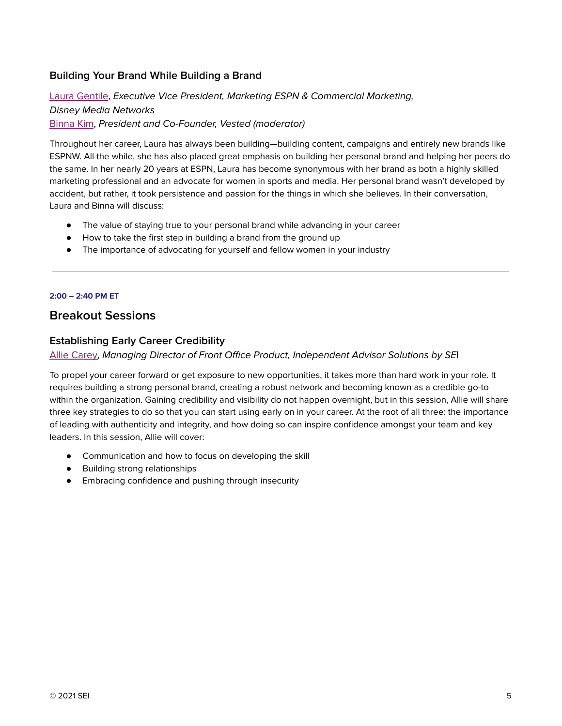# **Building Your Brand While Building a Brand**

Laura [Gentile](https://seiwomensleadershipsummit.com/speakers/#laura-gentile), Executive Vice President, Marketing ESPN & Commercial Marketing, Disney Media Networks [Binna](https://seiwomensleadershipsummit.com/speakers/#binna-kim) Kim, President and Co-Founder, Vested (moderator)

Throughout her career, Laura has always been building—building content, campaigns and entirely new brands like ESPNW. All the while, she has also placed great emphasis on building her personal brand and helping her peers do the same. In her nearly 20 years at ESPN, Laura has become synonymous with her brand as both a highly skilled marketing professional and an advocate for women in sports and media. Her personal brand wasn't developed by accident, but rather, it took persistence and passion for the things in which she believes. In their conversation, Laura and Binna will discuss:

- The value of staying true to your personal brand while advancing in your career
- How to take the first step in building a brand from the ground up
- The importance of advocating for yourself and fellow women in your industry

#### **2:00 – 2:40 PM ET**

# **Breakout Sessions**

## **Establishing Early Career Credibility**

Allie [Carey](https://seiwomensleadershipsummit.com/speakers/#allie-carey), Managing Director of Front Office Product, Independent Advisor Solutions by SEI

To propel your career forward or get exposure to new opportunities, it takes more than hard work in your role. It requires building a strong personal brand, creating a robust network and becoming known as a credible go-to within the organization. Gaining credibility and visibility do not happen overnight, but in this session, Allie will share three key strategies to do so that you can start using early on in your career. At the root of all three: the importance of leading with authenticity and integrity, and how doing so can inspire confidence amongst your team and key leaders. In this session, Allie will cover:

- Communication and how to focus on developing the skill
- Building strong relationships
- Embracing confidence and pushing through insecurity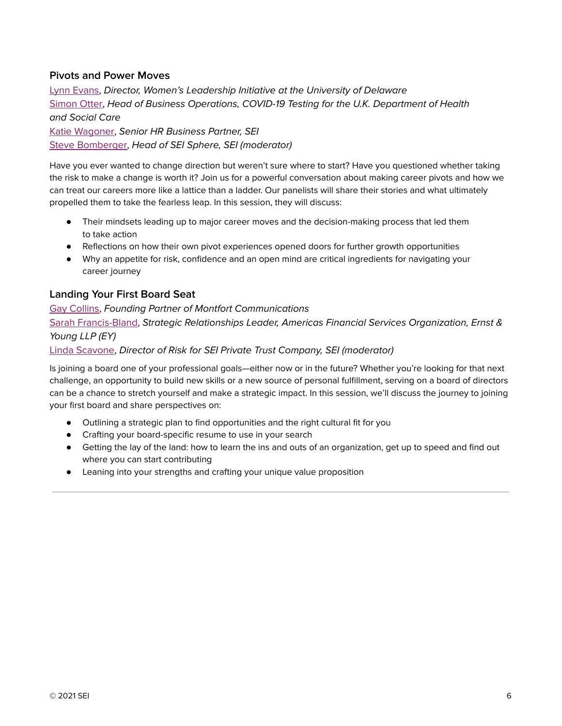# **Pivots and Power Moves**

Lynn [Evans,](https://seiwomensleadershipsummit.com/speakers/#lynn-evans) Director, Women's Leadership Initiative at the University of Delaware [Simon](https://seiwomensleadershipsummit.com/speakers/#simon-otter) Otter, Head of Business Operations, COVID-19 Testing for the U.K. Department of Health and Social Care Katie [Wagoner](https://seiwomensleadershipsummit.com/speakers/#katie-wagoner), Senior HR Business Partner, SEI Steve [Bomberger,](https://seiwomensleadershipsummit.com/speakers/#steve-bomberger) Head of SEI Sphere, SEI (moderator)

Have you ever wanted to change direction but weren't sure where to start? Have you questioned whether taking the risk to make a change is worth it? Join us for a powerful conversation about making career pivots and how we can treat our careers more like a lattice than a ladder. Our panelists will share their stories and what ultimately propelled them to take the fearless leap. In this session, they will discuss:

- Their mindsets leading up to major career moves and the decision-making process that led them to take action
- Reflections on how their own pivot experiences opened doors for further growth opportunities
- Why an appetite for risk, confidence and an open mind are critical ingredients for navigating your career journey

## **Landing Your First Board Seat**

Gay [Collins](https://seiwomensleadershipsummit.com/speakers/#gay-collins), Founding Partner of Montfort Communications Sarah [Francis-Bland,](https://seiwomensleadershipsummit.com/speakers/#sarah-francis) Strategic Relationships Leader, Americas Financial Services Organization, Ernst & Young LLP (EY) Linda [Scavone](https://seiwomensleadershipsummit.com/speakers/#linda-scavone), Director of Risk for SEI Private Trust Company, SEI (moderator)

Is joining a board one of your professional goals—either now or in the future? Whether you're looking for that next challenge, an opportunity to build new skills or a new source of personal fulfillment, serving on a board of directors can be a chance to stretch yourself and make a strategic impact. In this session, we'll discuss the journey to joining your first board and share perspectives on:

- Outlining a strategic plan to find opportunities and the right cultural fit for you
- Crafting your board-specific resume to use in your search
- Getting the lay of the land: how to learn the ins and outs of an organization, get up to speed and find out where you can start contributing
- Leaning into your strengths and crafting your unique value proposition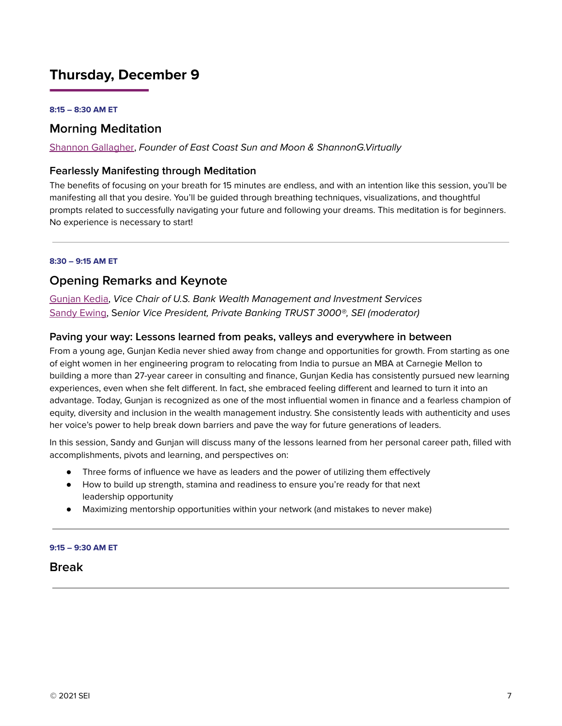# **Thursday, December 9**

#### **8:15 – 8:30 AM ET**

# **Morning Meditation**

Shannon [Gallagher](https://seiwomensleadershipsummit.com/speakers/#shannon-gallagher), Founder of East Coast Sun and Moon & ShannonG.Virtually

## **Fearlessly Manifesting through Meditation**

The benefits of focusing on your breath for 15 minutes are endless, and with an intention like this session, you'll be manifesting all that you desire. You'll be guided through breathing techniques, visualizations, and thoughtful prompts related to successfully navigating your future and following your dreams. This meditation is for beginners. No experience is necessary to start!

#### **8:30 – 9:15 AM ET**

# **Opening Remarks and Keynote**

[Gunjan](https://seiwomensleadershipsummit.com/speakers/#gunjan-kedia) Kedia, Vice Chair of U.S. Bank Wealth Management and Investment Services [Sandy](https://seiwomensleadershipsummit.com/speakers/#sandy-ewing) Ewing, Senior Vice President, Private Banking TRUST 3000®, SEI (moderator)

## **Paving your way: Lessons learned from peaks, valleys and everywhere in between**

From a young age, Gunjan Kedia never shied away from change and opportunities for growth. From starting as one of eight women in her engineering program to relocating from India to pursue an MBA at Carnegie Mellon to building a more than 27-year career in consulting and finance, Gunjan Kedia has consistently pursued new learning experiences, even when she felt different. In fact, she embraced feeling different and learned to turn it into an advantage. Today, Gunjan is recognized as one of the most influential women in finance and a fearless champion of equity, diversity and inclusion in the wealth management industry. She consistently leads with authenticity and uses her voice's power to help break down barriers and pave the way for future generations of leaders.

In this session, Sandy and Gunjan will discuss many of the lessons learned from her personal career path, filled with accomplishments, pivots and learning, and perspectives on:

- Three forms of influence we have as leaders and the power of utilizing them effectively
- How to build up strength, stamina and readiness to ensure you're ready for that next leadership opportunity
- Maximizing mentorship opportunities within your network (and mistakes to never make)

#### **9:15 – 9:30 AM ET**

**Break**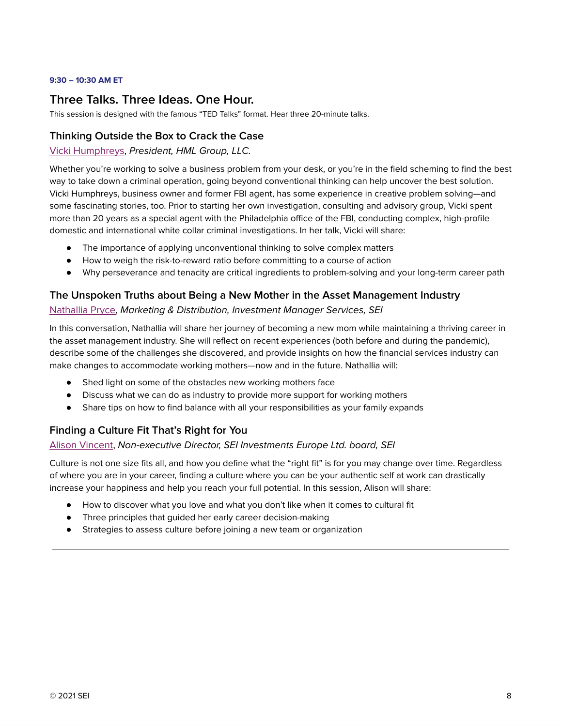## **9:30 – 10:30 AM ET**

# **Three Talks. Three Ideas. One Hour.**

This session is designed with the famous "TED Talks" format. Hear three 20-minute talks.

## **Thinking Outside the Box to Crack the Case**

## Vicki [Humphreys,](https://seiwomensleadershipsummit.com/speakers/#vicki-humphreys) President, HML Group, LLC.

Whether you're working to solve a business problem from your desk, or you're in the field scheming to find the best way to take down a criminal operation, going beyond conventional thinking can help uncover the best solution. Vicki Humphreys, business owner and former FBI agent, has some experience in creative problem solving—and some fascinating stories, too. Prior to starting her own investigation, consulting and advisory group, Vicki spent more than 20 years as a special agent with the Philadelphia office of the FBI, conducting complex, high-profile domestic and international white collar criminal investigations. In her talk, Vicki will share:

- The importance of applying unconventional thinking to solve complex matters
- How to weigh the risk-to-reward ratio before committing to a course of action
- Why perseverance and tenacity are critical ingredients to problem-solving and your long-term career path

## **The Unspoken Truths about Being a New Mother in the Asset Management Industry**

## [Nathallia](https://seiwomensleadershipsummit.com/speakers/#nathallia-pryce) Pryce, Marketing & Distribution, Investment Manager Services, SEI

In this conversation, Nathallia will share her journey of becoming a new mom while maintaining a thriving career in the asset management industry. She will reflect on recent experiences (both before and during the pandemic), describe some of the challenges she discovered, and provide insights on how the financial services industry can make changes to accommodate working mothers—now and in the future. Nathallia will:

- Shed light on some of the obstacles new working mothers face
- Discuss what we can do as industry to provide more support for working mothers
- Share tips on how to find balance with all your responsibilities as your family expands

# **Finding a Culture Fit That's Right for You**

## Alison [Vincent](https://seiwomensleadershipsummit.com/speakers/#dr-alison-vincent-ph-d), Non-executive Director, SEI Investments Europe Ltd. board, SEI

Culture is not one size fits all, and how you define what the "right fit" is for you may change over time. Regardless of where you are in your career, finding a culture where you can be your authentic self at work can drastically increase your happiness and help you reach your full potential. In this session, Alison will share:

- How to discover what you love and what you don't like when it comes to cultural fit
- Three principles that guided her early career decision-making
- Strategies to assess culture before joining a new team or organization